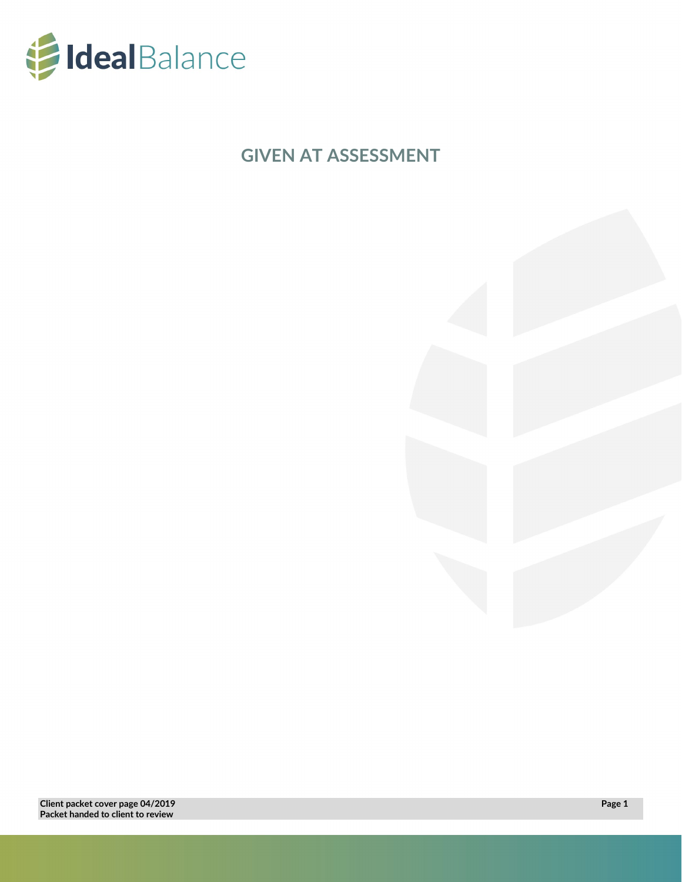

**GIVEN AT ASSESSMENT**

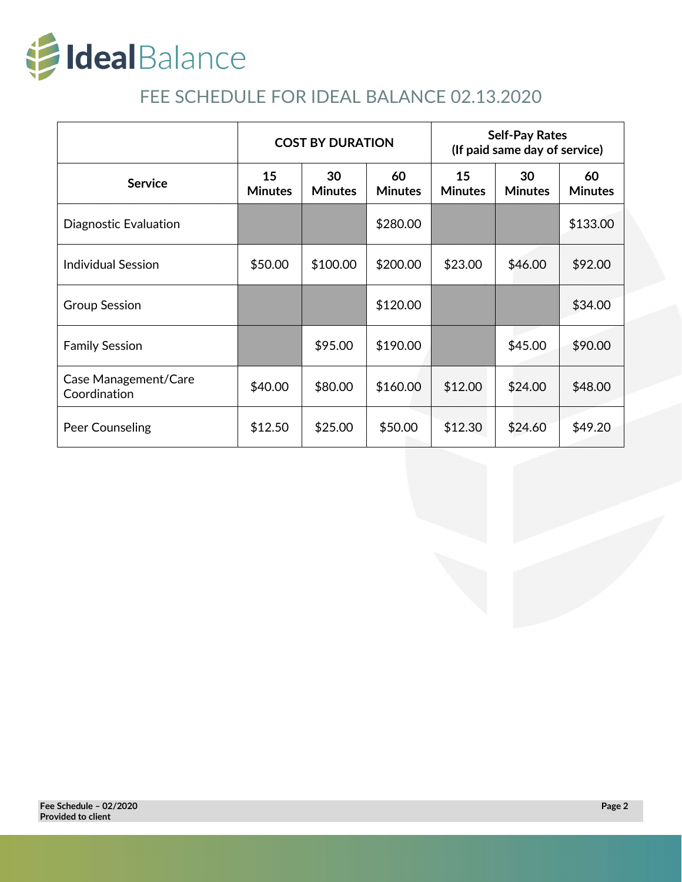

# FEE SCHEDULE FOR IDEAL BALANCE 02.13.2020

|                                      | <b>COST BY DURATION</b> |                      |                      | <b>Self-Pay Rates</b><br>(If paid same day of service) |                      |                      |
|--------------------------------------|-------------------------|----------------------|----------------------|--------------------------------------------------------|----------------------|----------------------|
| <b>Service</b>                       | 15<br><b>Minutes</b>    | 30<br><b>Minutes</b> | 60<br><b>Minutes</b> | 15<br><b>Minutes</b>                                   | 30<br><b>Minutes</b> | 60<br><b>Minutes</b> |
| Diagnostic Evaluation                |                         |                      | \$280.00             |                                                        |                      | \$133.00             |
| <b>Individual Session</b>            | \$50.00                 | \$100.00             | \$200.00             | \$23.00                                                | \$46.00              | \$92.00              |
| <b>Group Session</b>                 |                         |                      | \$120.00             |                                                        |                      | \$34.00              |
| <b>Family Session</b>                |                         | \$95.00              | \$190.00             |                                                        | \$45.00              | \$90.00              |
| Case Management/Care<br>Coordination | \$40.00                 | \$80.00              | \$160.00             | \$12.00                                                | \$24.00              | \$48.00              |
| Peer Counseling                      | \$12.50                 | \$25.00              | \$50.00              | \$12.30                                                | \$24.60              | \$49.20              |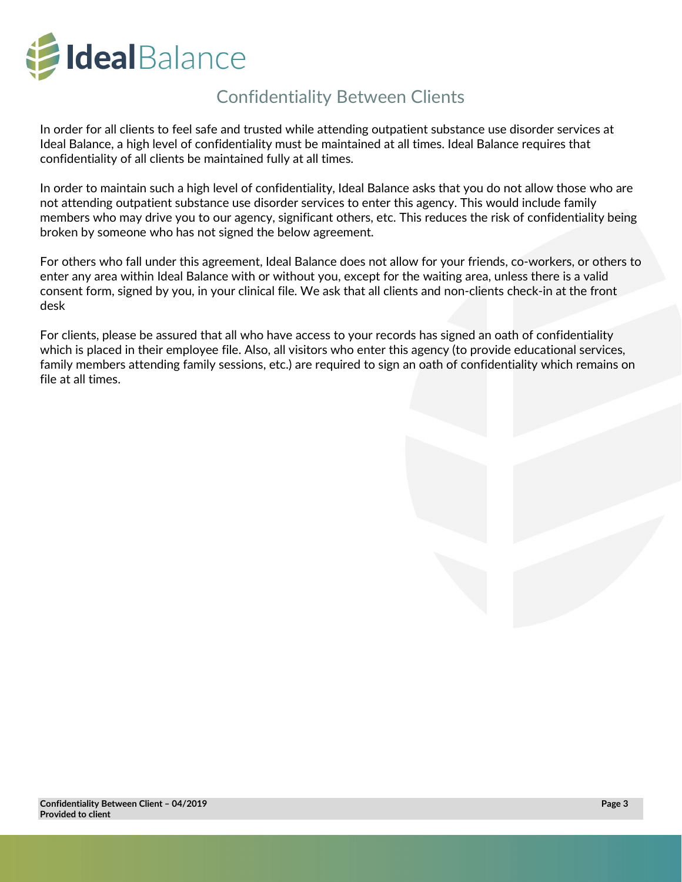

## Confidentiality Between Clients

In order for all clients to feel safe and trusted while attending outpatient substance use disorder services at Ideal Balance, a high level of confidentiality must be maintained at all times. Ideal Balance requires that confidentiality of all clients be maintained fully at all times.

In order to maintain such a high level of confidentiality, Ideal Balance asks that you do not allow those who are not attending outpatient substance use disorder services to enter this agency. This would include family members who may drive you to our agency, significant others, etc. This reduces the risk of confidentiality being broken by someone who has not signed the below agreement.

For others who fall under this agreement, Ideal Balance does not allow for your friends, co-workers, or others to enter any area within Ideal Balance with or without you, except for the waiting area, unless there is a valid consent form, signed by you, in your clinical file. We ask that all clients and non-clients check-in at the front desk

For clients, please be assured that all who have access to your records has signed an oath of confidentiality which is placed in their employee file. Also, all visitors who enter this agency (to provide educational services, family members attending family sessions, etc.) are required to sign an oath of confidentiality which remains on file at all times.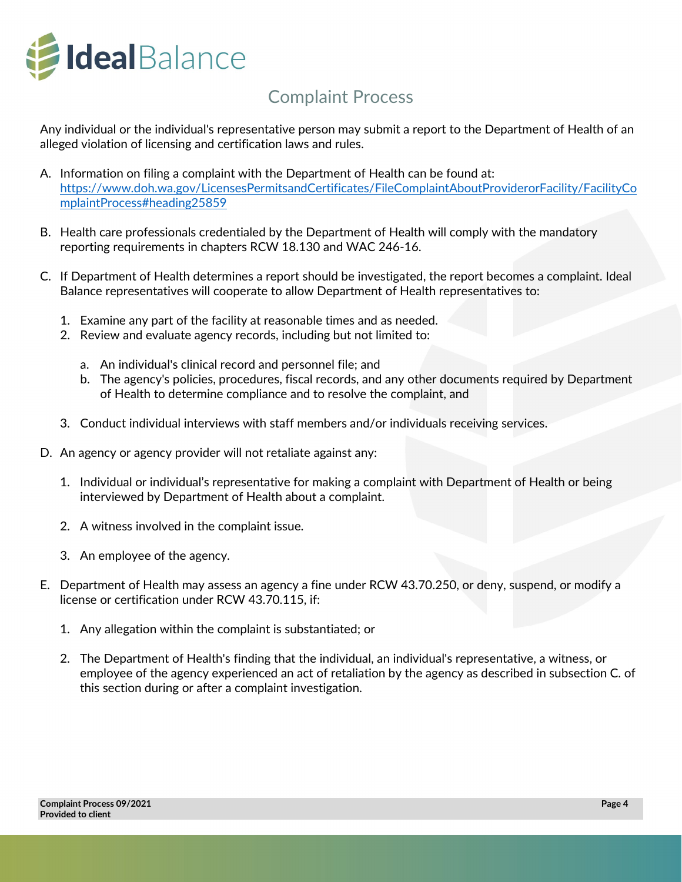

## Complaint Process

Any individual or the individual's representative person may submit a report to the Department of Health of an alleged violation of licensing and certification laws and rules.

- A. Information on filing a complaint with the Department of Health can be found at: [https://www.doh.wa.gov/LicensesPermitsandCertificates/FileComplaintAboutProviderorFacility/FacilityCo](https://www.doh.wa.gov/LicensesPermitsandCertificates/FileComplaintAboutProviderorFacility/FacilityComplaintProcess%23heading25859) [mplaintProcess#heading25859](https://www.doh.wa.gov/LicensesPermitsandCertificates/FileComplaintAboutProviderorFacility/FacilityComplaintProcess%23heading25859)
- B. Health care professionals credentialed by the Department of Health will comply with the mandatory reporting requirements in chapters RCW 18.130 and WAC 246-16.
- C. If Department of Health determines a report should be investigated, the report becomes a complaint. Ideal Balance representatives will cooperate to allow Department of Health representatives to:
	- 1. Examine any part of the facility at reasonable times and as needed.
	- 2. Review and evaluate agency records, including but not limited to:
		- a. An individual's clinical record and personnel file; and
		- b. The agency's policies, procedures, fiscal records, and any other documents required by Department of Health to determine compliance and to resolve the complaint, and
	- 3. Conduct individual interviews with staff members and/or individuals receiving services.
- D. An agency or agency provider will not retaliate against any:
	- 1. Individual or individual's representative for making a complaint with Department of Health or being interviewed by Department of Health about a complaint.
	- 2. A witness involved in the complaint issue.
	- 3. An employee of the agency.
- E. Department of Health may assess an agency a fine under RCW 43.70.250, or deny, suspend, or modify a license or certification under RCW 43.70.115, if:
	- 1. Any allegation within the complaint is substantiated; or
	- 2. The Department of Health's finding that the individual, an individual's representative, a witness, or employee of the agency experienced an act of retaliation by the agency as described in subsection C. of this section during or after a complaint investigation.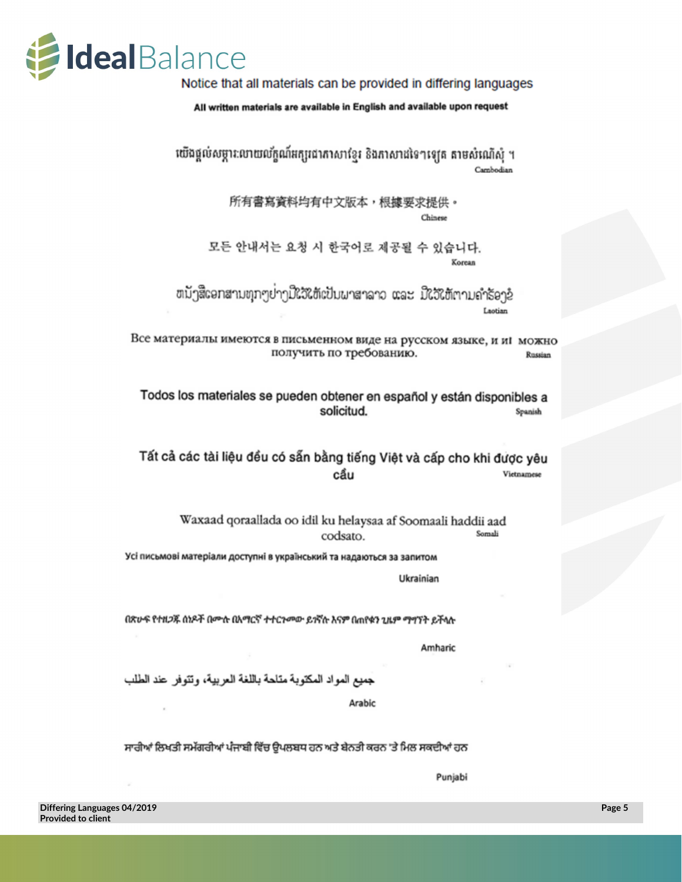

Notice that all materials can be provided in differing languages

All written materials are available in English and available upon request

យើងផ្តល់សម្ភារៈលាយល័ក្ខណ៍អក្សរជាភាសាខ្មែរ និងភាសាដទៃៗឡេត តាមសំណើសំ ។ Cambodian

> 所有書寫資料均有中文版本,根據要求提供。 Chinese

모든 안내서는 요청 시 한국어로 제공될 수 있습니다. Korean

ຫນັງສືເອກສານທຸກໆຢາງນີ້ໃຈ້ໃຫ້ເປັນພາສາລາວ ແລະ ມີໃຈ້ໃຫ້ຕາມຄຳ້ຮອງຂໍ Laotian

Все материалы имеются в письменном виде на русском языке, и иі можно получить по требованию. Russian

Todos los materiales se pueden obtener en español y están disponibles a solicitud. Spanish

Tất cả các tài liệu đều có sẵn bằng tiếng Việt và cấp cho khi được yêu cẩu Vietnamese

Waxaad qoraallada oo idil ku helaysaa af Soomaali haddii aad Somali codsato.

Усі письмові матеріали доступні в український та надаються за запитом

Ukrainian

በጽሁፍ የተዘጋጁ ሰነዶች በሙሉ በአማርኛ ተተርጎመው ይጎኛሉ እናም በጠየቁን ጊዜም ማግኘት ይችላሉ

Amharic

جميع المواد المكتوبة متلحة باللغة العربية، وتتوفر عند الطلب

Arabic

ਸਾਰੀਆਂ ਲਿਖਤੀ ਸਮੱਗਰੀਆਂ ਪੰਜਾਬੀ ਵਿੱਚ ਉਪਲਬਧ ਹਨ ਅਤੇ ਬੇਨਤੀ ਕਰਨ 'ਤੇ ਮਿਲ ਸਕਦੀਆਂ ਹਨ

Punjabi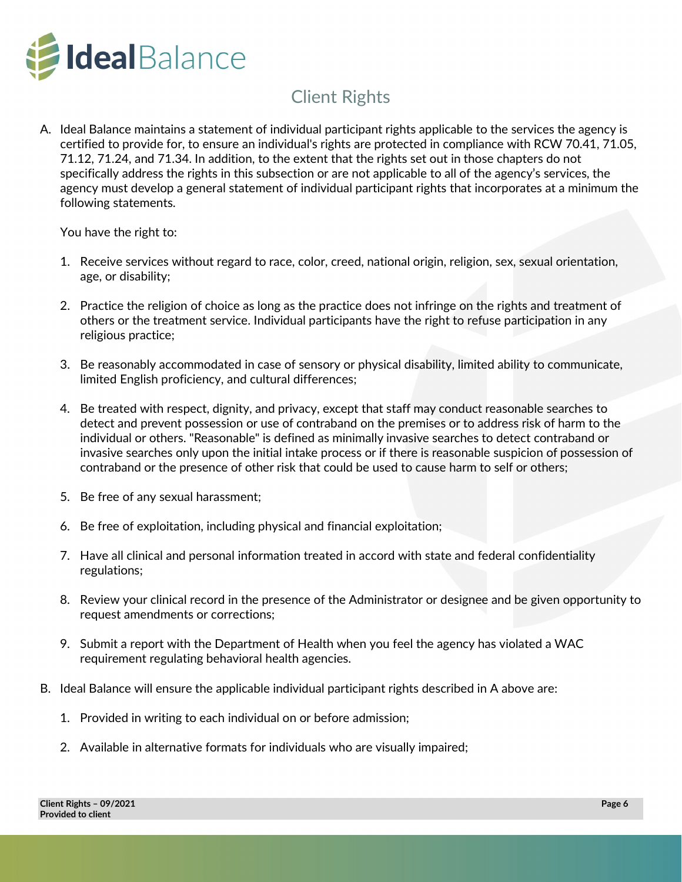

# Client Rights

A. Ideal Balance maintains a statement of individual participant rights applicable to the services the agency is certified to provide for, to ensure an individual's rights are protected in compliance with RCW 70.41, 71.05, 71.12, 71.24, and 71.34. In addition, to the extent that the rights set out in those chapters do not specifically address the rights in this subsection or are not applicable to all of the agency's services, the agency must develop a general statement of individual participant rights that incorporates at a minimum the following statements.

You have the right to:

- 1. Receive services without regard to race, color, creed, national origin, religion, sex, sexual orientation, age, or disability;
- 2. Practice the religion of choice as long as the practice does not infringe on the rights and treatment of others or the treatment service. Individual participants have the right to refuse participation in any religious practice;
- 3. Be reasonably accommodated in case of sensory or physical disability, limited ability to communicate, limited English proficiency, and cultural differences;
- 4. Be treated with respect, dignity, and privacy, except that staff may conduct reasonable searches to detect and prevent possession or use of contraband on the premises or to address risk of harm to the individual or others. "Reasonable" is defined as minimally invasive searches to detect contraband or invasive searches only upon the initial intake process or if there is reasonable suspicion of possession of contraband or the presence of other risk that could be used to cause harm to self or others;
- 5. Be free of any sexual harassment;
- 6. Be free of exploitation, including physical and financial exploitation;
- 7. Have all clinical and personal information treated in accord with state and federal confidentiality regulations;
- 8. Review your clinical record in the presence of the Administrator or designee and be given opportunity to request amendments or corrections;
- 9. Submit a report with the Department of Health when you feel the agency has violated a WAC requirement regulating behavioral health agencies.
- B. Ideal Balance will ensure the applicable individual participant rights described in A above are:
	- 1. Provided in writing to each individual on or before admission;
	- 2. Available in alternative formats for individuals who are visually impaired;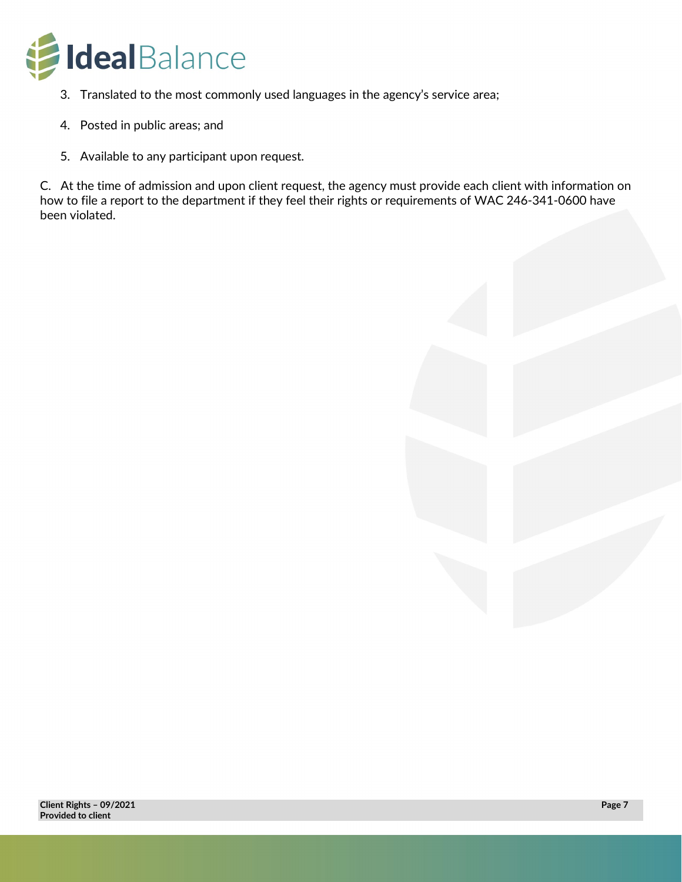

- 3. Translated to the most commonly used languages in the agency's service area;
- 4. Posted in public areas; and
- 5. Available to any participant upon request.

C. At the time of admission and upon client request, the agency must provide each client with information on how to file a report to the department if they feel their rights or requirements of WAC 246-341-0600 have been violated.

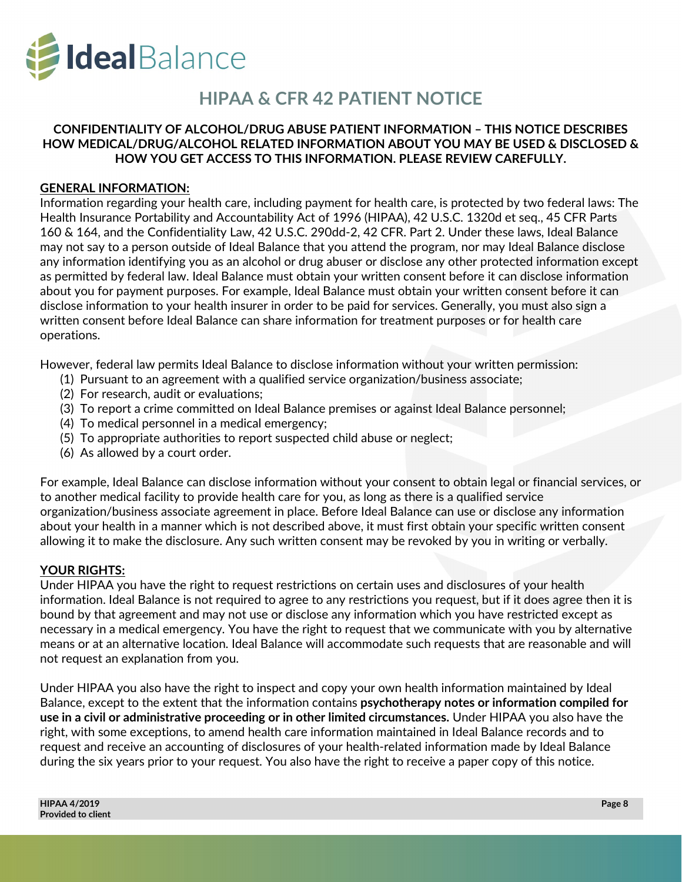

## **HIPAA & CFR 42 PATIENT NOTICE**

### **CONFIDENTIALITY OF ALCOHOL/DRUG ABUSE PATIENT INFORMATION – THIS NOTICE DESCRIBES HOW MEDICAL/DRUG/ALCOHOL RELATED INFORMATION ABOUT YOU MAY BE USED & DISCLOSED & HOW YOU GET ACCESS TO THIS INFORMATION. PLEASE REVIEW CAREFULLY.**

#### **GENERAL INFORMATION:**

Information regarding your health care, including payment for health care, is protected by two federal laws: The Health Insurance Portability and Accountability Act of 1996 (HIPAA), 42 U.S.C. 1320d et seq., 45 CFR Parts 160 & 164, and the Confidentiality Law, 42 U.S.C. 290dd-2, 42 CFR. Part 2. Under these laws, Ideal Balance may not say to a person outside of Ideal Balance that you attend the program, nor may Ideal Balance disclose any information identifying you as an alcohol or drug abuser or disclose any other protected information except as permitted by federal law. Ideal Balance must obtain your written consent before it can disclose information about you for payment purposes. For example, Ideal Balance must obtain your written consent before it can disclose information to your health insurer in order to be paid for services. Generally, you must also sign a written consent before Ideal Balance can share information for treatment purposes or for health care operations.

However, federal law permits Ideal Balance to disclose information without your written permission:

- (1) Pursuant to an agreement with a qualified service organization/business associate;
- (2) For research, audit or evaluations;
- (3) To report a crime committed on Ideal Balance premises or against Ideal Balance personnel;
- (4) To medical personnel in a medical emergency;
- (5) To appropriate authorities to report suspected child abuse or neglect;
- (6) As allowed by a court order.

For example, Ideal Balance can disclose information without your consent to obtain legal or financial services, or to another medical facility to provide health care for you, as long as there is a qualified service organization/business associate agreement in place. Before Ideal Balance can use or disclose any information about your health in a manner which is not described above, it must first obtain your specific written consent allowing it to make the disclosure. Any such written consent may be revoked by you in writing or verbally.

#### **YOUR RIGHTS:**

Under HIPAA you have the right to request restrictions on certain uses and disclosures of your health information. Ideal Balance is not required to agree to any restrictions you request, but if it does agree then it is bound by that agreement and may not use or disclose any information which you have restricted except as necessary in a medical emergency. You have the right to request that we communicate with you by alternative means or at an alternative location. Ideal Balance will accommodate such requests that are reasonable and will not request an explanation from you.

Under HIPAA you also have the right to inspect and copy your own health information maintained by Ideal Balance, except to the extent that the information contains **psychotherapy notes or information compiled for use in a civil or administrative proceeding or in other limited circumstances.** Under HIPAA you also have the right, with some exceptions, to amend health care information maintained in Ideal Balance records and to request and receive an accounting of disclosures of your health-related information made by Ideal Balance during the six years prior to your request. You also have the right to receive a paper copy of this notice.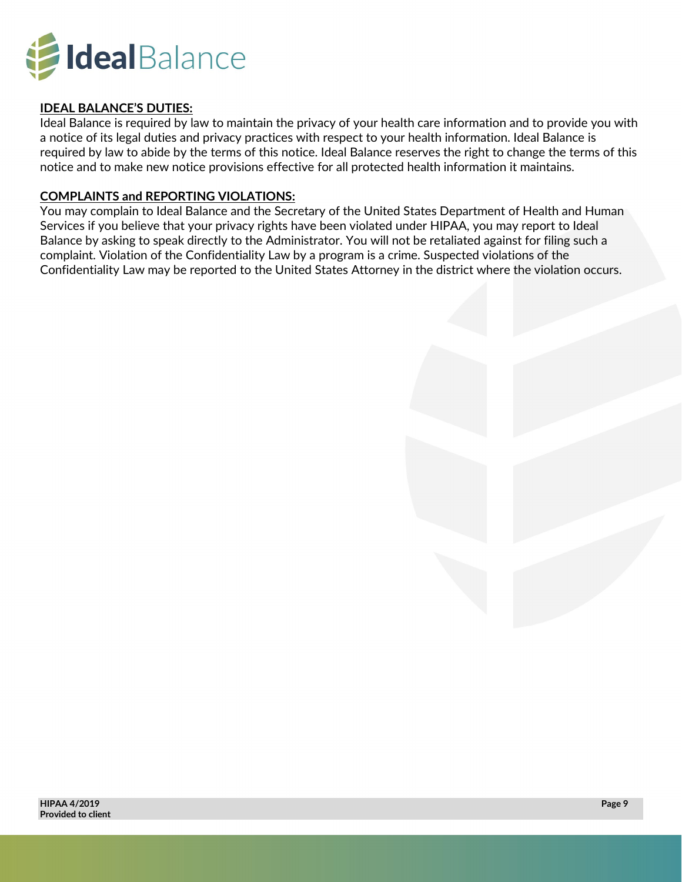

### **IDEAL BALANCE'S DUTIES:**

Ideal Balance is required by law to maintain the privacy of your health care information and to provide you with a notice of its legal duties and privacy practices with respect to your health information. Ideal Balance is required by law to abide by the terms of this notice. Ideal Balance reserves the right to change the terms of this notice and to make new notice provisions effective for all protected health information it maintains.

### **COMPLAINTS and REPORTING VIOLATIONS:**

You may complain to Ideal Balance and the Secretary of the United States Department of Health and Human Services if you believe that your privacy rights have been violated under HIPAA, you may report to Ideal Balance by asking to speak directly to the Administrator. You will not be retaliated against for filing such a complaint. Violation of the Confidentiality Law by a program is a crime. Suspected violations of the Confidentiality Law may be reported to the United States Attorney in the district where the violation occurs.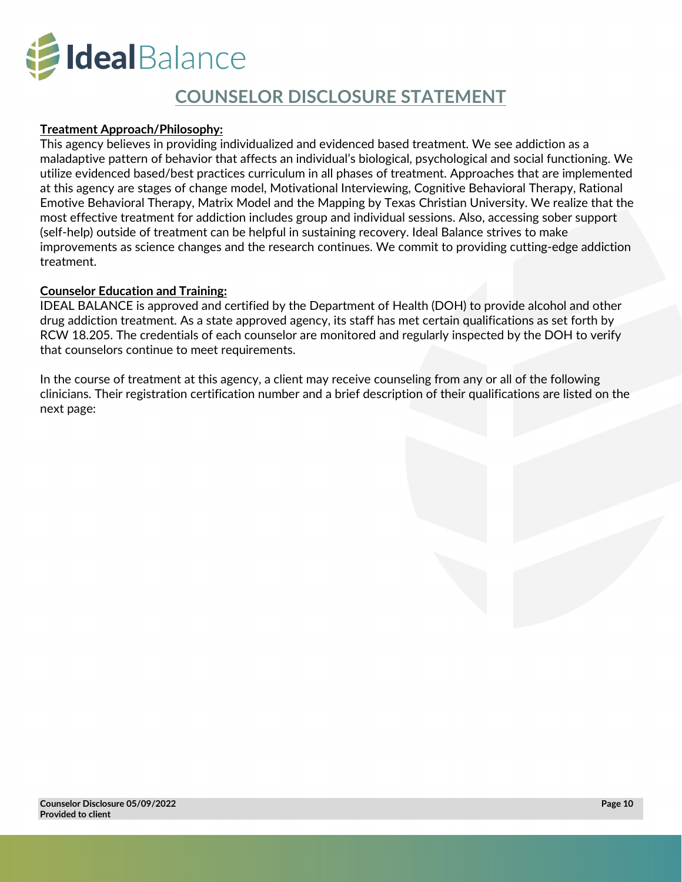

### **COUNSELOR DISCLOSURE STATEMENT**

### **Treatment Approach/Philosophy:**

This agency believes in providing individualized and evidenced based treatment. We see addiction as a maladaptive pattern of behavior that affects an individual's biological, psychological and social functioning. We utilize evidenced based/best practices curriculum in all phases of treatment. Approaches that are implemented at this agency are stages of change model, Motivational Interviewing, Cognitive Behavioral Therapy, Rational Emotive Behavioral Therapy, Matrix Model and the Mapping by Texas Christian University. We realize that the most effective treatment for addiction includes group and individual sessions. Also, accessing sober support (self-help) outside of treatment can be helpful in sustaining recovery. Ideal Balance strives to make improvements as science changes and the research continues. We commit to providing cutting-edge addiction treatment.

#### **Counselor Education and Training:**

IDEAL BALANCE is approved and certified by the Department of Health (DOH) to provide alcohol and other drug addiction treatment. As a state approved agency, its staff has met certain qualifications as set forth by RCW 18.205. The credentials of each counselor are monitored and regularly inspected by the DOH to verify that counselors continue to meet requirements.

In the course of treatment at this agency, a client may receive counseling from any or all of the following clinicians. Their registration certification number and a brief description of their qualifications are listed on the next page: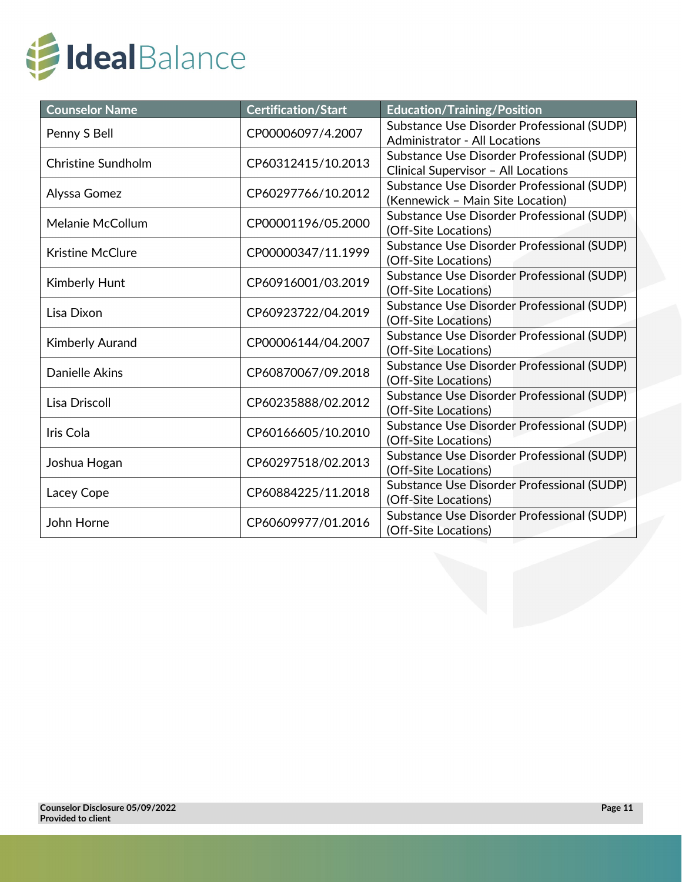

| <b>Counselor Name</b>     | <b>Certification/Start</b> | <b>Education/Training/Position</b>                                                 |  |  |
|---------------------------|----------------------------|------------------------------------------------------------------------------------|--|--|
| Penny S Bell              | CP00006097/4.2007          | Substance Use Disorder Professional (SUDP)<br><b>Administrator - All Locations</b> |  |  |
| <b>Christine Sundholm</b> | CP60312415/10.2013         | Substance Use Disorder Professional (SUDP)<br>Clinical Supervisor - All Locations  |  |  |
| Alyssa Gomez              | CP60297766/10.2012         | Substance Use Disorder Professional (SUDP)<br>(Kennewick - Main Site Location)     |  |  |
| Melanie McCollum          | CP00001196/05.2000         | Substance Use Disorder Professional (SUDP)<br>(Off-Site Locations)                 |  |  |
| <b>Kristine McClure</b>   | CP00000347/11.1999         | Substance Use Disorder Professional (SUDP)<br>(Off-Site Locations)                 |  |  |
| <b>Kimberly Hunt</b>      | CP60916001/03.2019         | Substance Use Disorder Professional (SUDP)<br>(Off-Site Locations)                 |  |  |
| Lisa Dixon                | CP60923722/04.2019         | Substance Use Disorder Professional (SUDP)<br>(Off-Site Locations)                 |  |  |
| <b>Kimberly Aurand</b>    | CP00006144/04.2007         | Substance Use Disorder Professional (SUDP)<br>(Off-Site Locations)                 |  |  |
| <b>Danielle Akins</b>     | CP60870067/09.2018         | Substance Use Disorder Professional (SUDP)<br>(Off-Site Locations)                 |  |  |
| <b>Lisa Driscoll</b>      | CP60235888/02.2012         | Substance Use Disorder Professional (SUDP)<br>(Off-Site Locations)                 |  |  |
| Iris Cola                 | CP60166605/10.2010         | Substance Use Disorder Professional (SUDP)<br>(Off-Site Locations)                 |  |  |
| Joshua Hogan              | CP60297518/02.2013         | Substance Use Disorder Professional (SUDP)<br>(Off-Site Locations)                 |  |  |
| Lacey Cope                | CP60884225/11.2018         | Substance Use Disorder Professional (SUDP)<br>(Off-Site Locations)                 |  |  |
| John Horne                | CP60609977/01.2016         | Substance Use Disorder Professional (SUDP)<br>(Off-Site Locations)                 |  |  |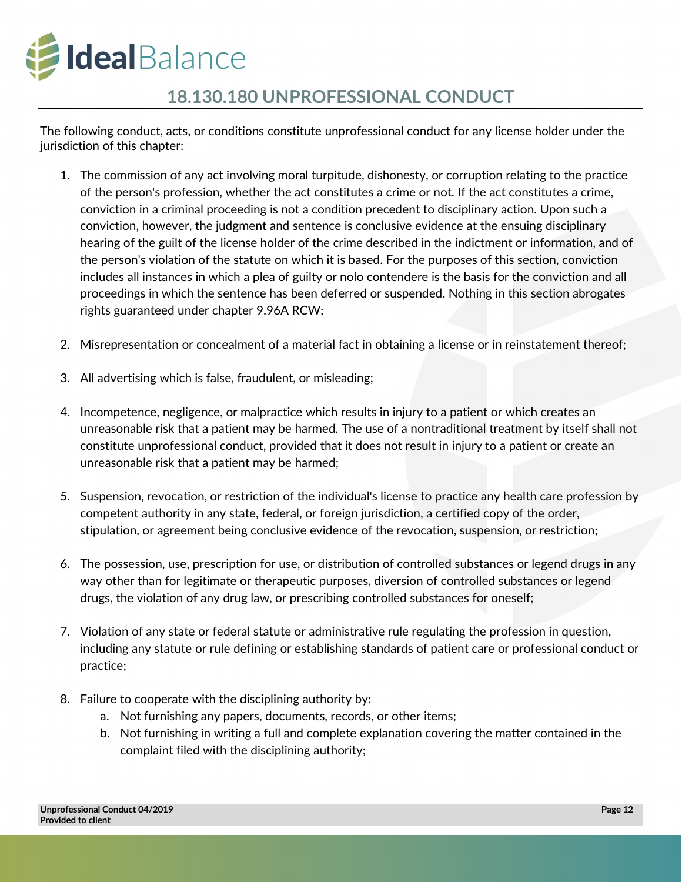

## **18.130.180 UNPROFESSIONAL CONDUCT**

The following conduct, acts, or conditions constitute unprofessional conduct for any license holder under the jurisdiction of this chapter:

- 1. The commission of any act involving moral turpitude, dishonesty, or corruption relating to the practice of the person's profession, whether the act constitutes a crime or not. If the act constitutes a crime, conviction in a criminal proceeding is not a condition precedent to disciplinary action. Upon such a conviction, however, the judgment and sentence is conclusive evidence at the ensuing disciplinary hearing of the guilt of the license holder of the crime described in the indictment or information, and of the person's violation of the statute on which it is based. For the purposes of this section, conviction includes all instances in which a plea of guilty or nolo contendere is the basis for the conviction and all proceedings in which the sentence has been deferred or suspended. Nothing in this section abrogates rights guaranteed under chapter 9.96A RCW;
- 2. Misrepresentation or concealment of a material fact in obtaining a license or in reinstatement thereof;
- 3. All advertising which is false, fraudulent, or misleading;
- 4. Incompetence, negligence, or malpractice which results in injury to a patient or which creates an unreasonable risk that a patient may be harmed. The use of a nontraditional treatment by itself shall not constitute unprofessional conduct, provided that it does not result in injury to a patient or create an unreasonable risk that a patient may be harmed;
- 5. Suspension, revocation, or restriction of the individual's license to practice any health care profession by competent authority in any state, federal, or foreign jurisdiction, a certified copy of the order, stipulation, or agreement being conclusive evidence of the revocation, suspension, or restriction;
- 6. The possession, use, prescription for use, or distribution of controlled substances or legend drugs in any way other than for legitimate or therapeutic purposes, diversion of controlled substances or legend drugs, the violation of any drug law, or prescribing controlled substances for oneself;
- 7. Violation of any state or federal statute or administrative rule regulating the profession in question, including any statute or rule defining or establishing standards of patient care or professional conduct or practice;
- 8. Failure to cooperate with the disciplining authority by:
	- a. Not furnishing any papers, documents, records, or other items;
	- b. Not furnishing in writing a full and complete explanation covering the matter contained in the complaint filed with the disciplining authority;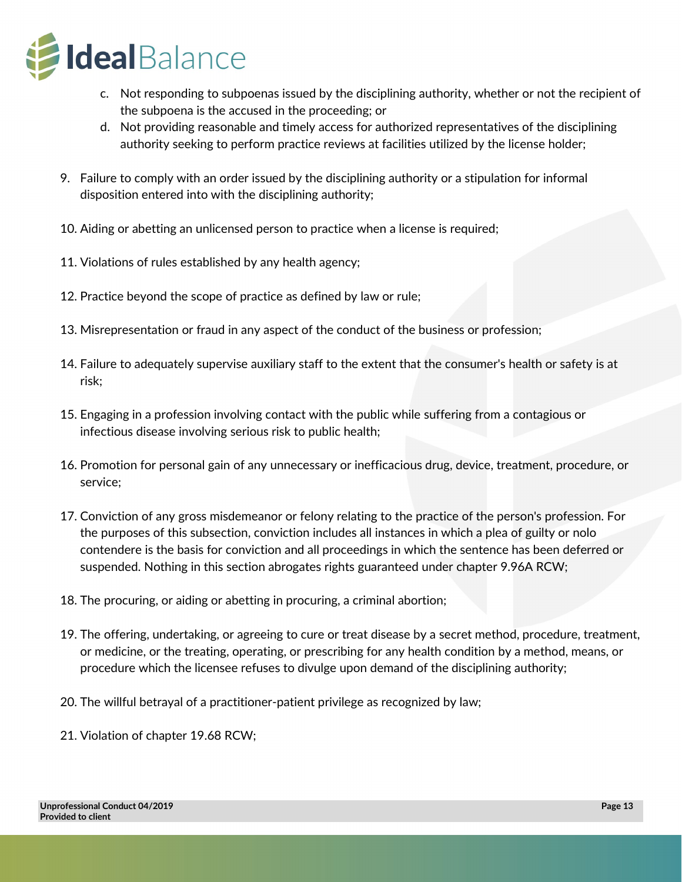

- c. Not responding to subpoenas issued by the disciplining authority, whether or not the recipient of the subpoena is the accused in the proceeding; or
- d. Not providing reasonable and timely access for authorized representatives of the disciplining authority seeking to perform practice reviews at facilities utilized by the license holder;
- 9. Failure to comply with an order issued by the disciplining authority or a stipulation for informal disposition entered into with the disciplining authority;
- 10. Aiding or abetting an unlicensed person to practice when a license is required;
- 11. Violations of rules established by any health agency;
- 12. Practice beyond the scope of practice as defined by law or rule;
- 13. Misrepresentation or fraud in any aspect of the conduct of the business or profession;
- 14. Failure to adequately supervise auxiliary staff to the extent that the consumer's health or safety is at risk;
- 15. Engaging in a profession involving contact with the public while suffering from a contagious or infectious disease involving serious risk to public health;
- 16. Promotion for personal gain of any unnecessary or inefficacious drug, device, treatment, procedure, or service;
- 17. Conviction of any gross misdemeanor or felony relating to the practice of the person's profession. For the purposes of this subsection, conviction includes all instances in which a plea of guilty or nolo contendere is the basis for conviction and all proceedings in which the sentence has been deferred or suspended. Nothing in this section abrogates rights guaranteed under chapter 9.96A RCW;
- 18. The procuring, or aiding or abetting in procuring, a criminal abortion;
- 19. The offering, undertaking, or agreeing to cure or treat disease by a secret method, procedure, treatment, or medicine, or the treating, operating, or prescribing for any health condition by a method, means, or procedure which the licensee refuses to divulge upon demand of the disciplining authority;
- 20. The willful betrayal of a practitioner-patient privilege as recognized by law;
- 21. Violation of chapter 19.68 RCW;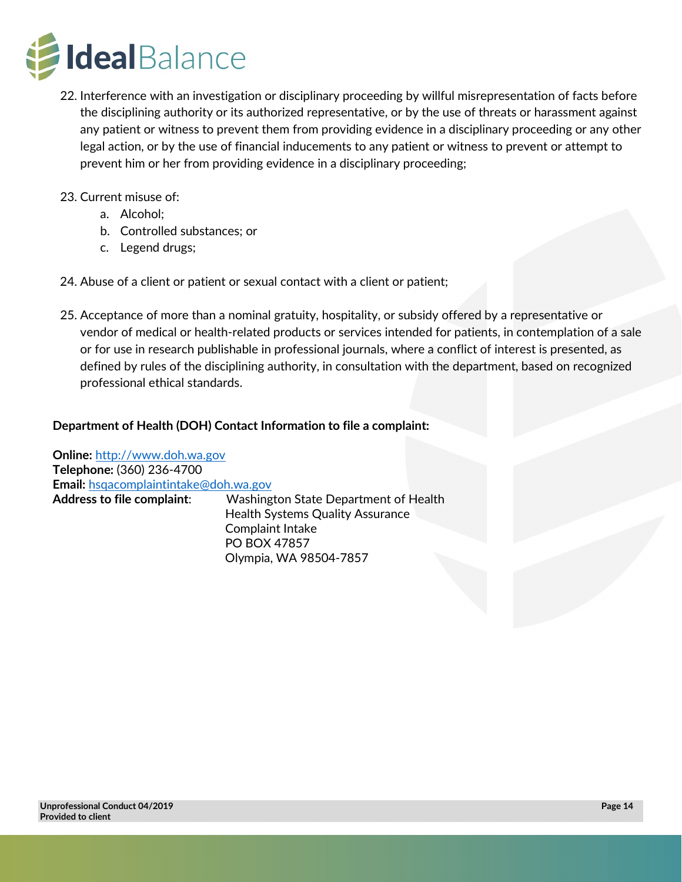

- 22. Interference with an investigation or disciplinary proceeding by willful misrepresentation of facts before the disciplining authority or its authorized representative, or by the use of threats or harassment against any patient or witness to prevent them from providing evidence in a disciplinary proceeding or any other legal action, or by the use of financial inducements to any patient or witness to prevent or attempt to prevent him or her from providing evidence in a disciplinary proceeding;
- 23. Current misuse of:
	- a. Alcohol;
	- b. Controlled substances; or
	- c. Legend drugs;
- 24. Abuse of a client or patient or sexual contact with a client or patient;
- 25. Acceptance of more than a nominal gratuity, hospitality, or subsidy offered by a representative or vendor of medical or health-related products or services intended for patients, in contemplation of a sale or for use in research publishable in professional journals, where a conflict of interest is presented, as defined by rules of the disciplining authority, in consultation with the department, based on recognized professional ethical standards.

### **Department of Health (DOH) Contact Information to file a complaint:**

**Online:** [http://www.doh.wa.gov](http://www.doh.wa.gov/)  **Telephone:** (360) 236-4700 **Email:** [hsqacomplaintintake@doh.wa.gov](mailto:hsqacomplaintintake@doh.wa.gov) **Address to file complaint**: Washington State Department of Health Health Systems Quality Assurance Complaint Intake PO BOX 47857 Olympia, WA 98504-7857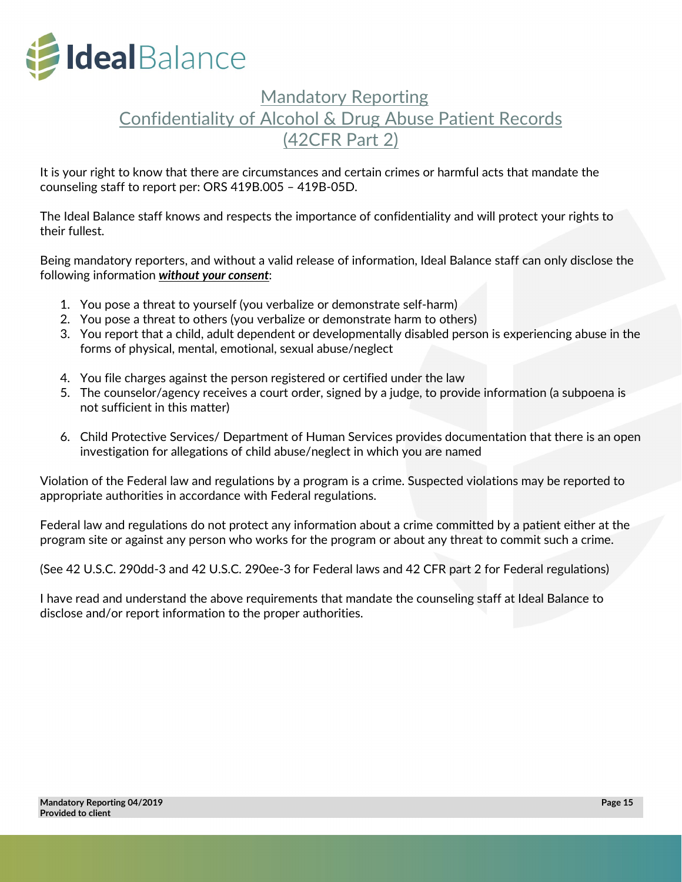

## Mandatory Reporting Confidentiality of Alcohol & Drug Abuse Patient Records (42CFR Part 2)

It is your right to know that there are circumstances and certain crimes or harmful acts that mandate the counseling staff to report per: ORS 419B.005 – 419B-05D.

The Ideal Balance staff knows and respects the importance of confidentiality and will protect your rights to their fullest.

Being mandatory reporters, and without a valid release of information, Ideal Balance staff can only disclose the following information *without your consent*:

- 1. You pose a threat to yourself (you verbalize or demonstrate self-harm)
- 2. You pose a threat to others (you verbalize or demonstrate harm to others)
- 3. You report that a child, adult dependent or developmentally disabled person is experiencing abuse in the forms of physical, mental, emotional, sexual abuse/neglect
- 4. You file charges against the person registered or certified under the law
- 5. The counselor/agency receives a court order, signed by a judge, to provide information (a subpoena is not sufficient in this matter)
- 6. Child Protective Services/ Department of Human Services provides documentation that there is an open investigation for allegations of child abuse/neglect in which you are named

Violation of the Federal law and regulations by a program is a crime. Suspected violations may be reported to appropriate authorities in accordance with Federal regulations.

Federal law and regulations do not protect any information about a crime committed by a patient either at the program site or against any person who works for the program or about any threat to commit such a crime.

(See 42 U.S.C. 290dd-3 and 42 U.S.C. 290ee-3 for Federal laws and 42 CFR part 2 for Federal regulations)

I have read and understand the above requirements that mandate the counseling staff at Ideal Balance to disclose and/or report information to the proper authorities.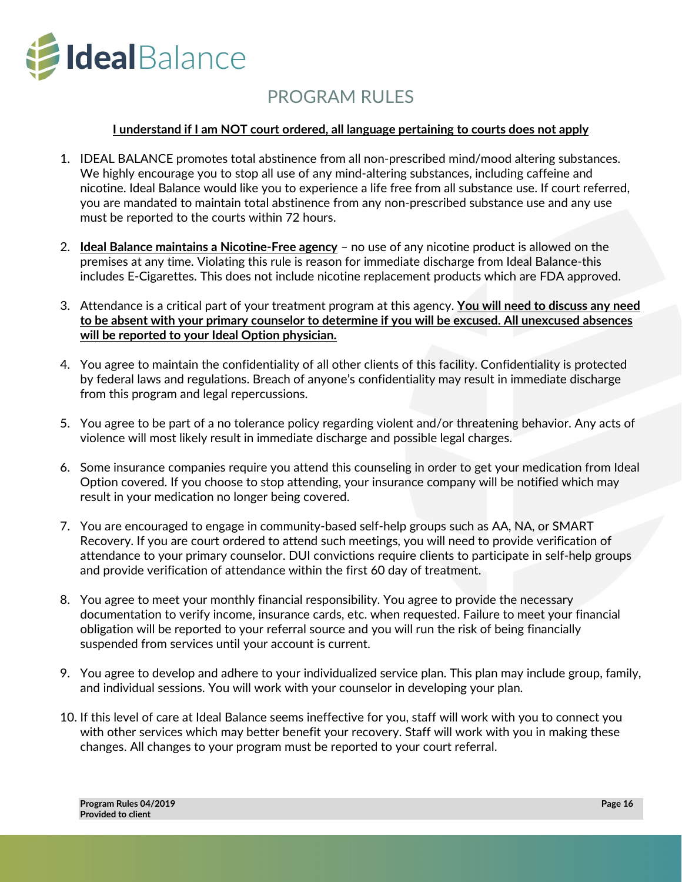

## PROGRAM RULES

### **I understand if I am NOT court ordered, all language pertaining to courts does not apply**

- 1. IDEAL BALANCE promotes total abstinence from all non-prescribed mind/mood altering substances. We highly encourage you to stop all use of any mind-altering substances, including caffeine and nicotine. Ideal Balance would like you to experience a life free from all substance use. If court referred, you are mandated to maintain total abstinence from any non-prescribed substance use and any use must be reported to the courts within 72 hours.
- 2. **Ideal Balance maintains a Nicotine-Free agency** no use of any nicotine product is allowed on the premises at any time. Violating this rule is reason for immediate discharge from Ideal Balance-this includes E-Cigarettes. This does not include nicotine replacement products which are FDA approved.
- 3. Attendance is a critical part of your treatment program at this agency. **You will need to discuss any need to be absent with your primary counselor to determine if you will be excused. All unexcused absences will be reported to your Ideal Option physician.**
- 4. You agree to maintain the confidentiality of all other clients of this facility. Confidentiality is protected by federal laws and regulations. Breach of anyone's confidentiality may result in immediate discharge from this program and legal repercussions.
- 5. You agree to be part of a no tolerance policy regarding violent and/or threatening behavior. Any acts of violence will most likely result in immediate discharge and possible legal charges.
- 6. Some insurance companies require you attend this counseling in order to get your medication from Ideal Option covered. If you choose to stop attending, your insurance company will be notified which may result in your medication no longer being covered.
- 7. You are encouraged to engage in community-based self-help groups such as AA, NA, or SMART Recovery. If you are court ordered to attend such meetings, you will need to provide verification of attendance to your primary counselor. DUI convictions require clients to participate in self-help groups and provide verification of attendance within the first 60 day of treatment.
- 8. You agree to meet your monthly financial responsibility. You agree to provide the necessary documentation to verify income, insurance cards, etc. when requested. Failure to meet your financial obligation will be reported to your referral source and you will run the risk of being financially suspended from services until your account is current.
- 9. You agree to develop and adhere to your individualized service plan. This plan may include group, family, and individual sessions. You will work with your counselor in developing your plan.
- 10. If this level of care at Ideal Balance seems ineffective for you, staff will work with you to connect you with other services which may better benefit your recovery. Staff will work with you in making these changes. All changes to your program must be reported to your court referral.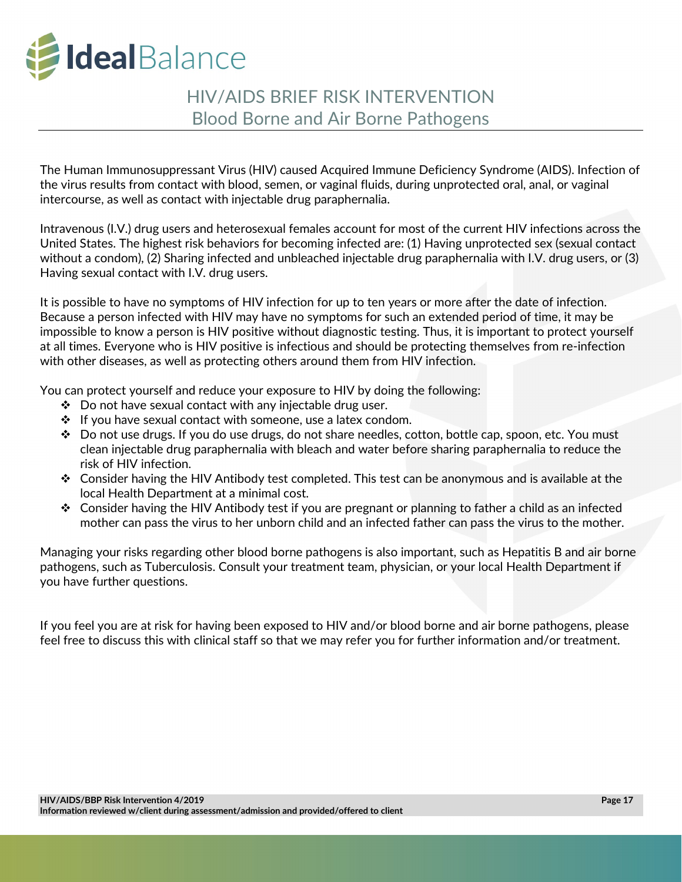

## HIV/AIDS BRIEF RISK INTERVENTION Blood Borne and Air Borne Pathogens

The Human Immunosuppressant Virus (HIV) caused Acquired Immune Deficiency Syndrome (AIDS). Infection of the virus results from contact with blood, semen, or vaginal fluids, during unprotected oral, anal, or vaginal intercourse, as well as contact with injectable drug paraphernalia.

Intravenous (I.V.) drug users and heterosexual females account for most of the current HIV infections across the United States. The highest risk behaviors for becoming infected are: (1) Having unprotected sex (sexual contact without a condom), (2) Sharing infected and unbleached injectable drug paraphernalia with I.V. drug users, or (3) Having sexual contact with I.V. drug users.

It is possible to have no symptoms of HIV infection for up to ten years or more after the date of infection. Because a person infected with HIV may have no symptoms for such an extended period of time, it may be impossible to know a person is HIV positive without diagnostic testing. Thus, it is important to protect yourself at all times. Everyone who is HIV positive is infectious and should be protecting themselves from re-infection with other diseases, as well as protecting others around them from HIV infection.

You can protect yourself and reduce your exposure to HIV by doing the following:

- $\div$  Do not have sexual contact with any injectable drug user.
- $\cdot \cdot$  If you have sexual contact with someone, use a latex condom.
- $\div$  Do not use drugs. If you do use drugs, do not share needles, cotton, bottle cap, spoon, etc. You must clean injectable drug paraphernalia with bleach and water before sharing paraphernalia to reduce the risk of HIV infection.
- $\mathbf{\hat{P}}$  Consider having the HIV Antibody test completed. This test can be anonymous and is available at the local Health Department at a minimal cost.
- Consider having the HIV Antibody test if you are pregnant or planning to father a child as an infected mother can pass the virus to her unborn child and an infected father can pass the virus to the mother.

Managing your risks regarding other blood borne pathogens is also important, such as Hepatitis B and air borne pathogens, such as Tuberculosis. Consult your treatment team, physician, or your local Health Department if you have further questions.

If you feel you are at risk for having been exposed to HIV and/or blood borne and air borne pathogens, please feel free to discuss this with clinical staff so that we may refer you for further information and/or treatment.